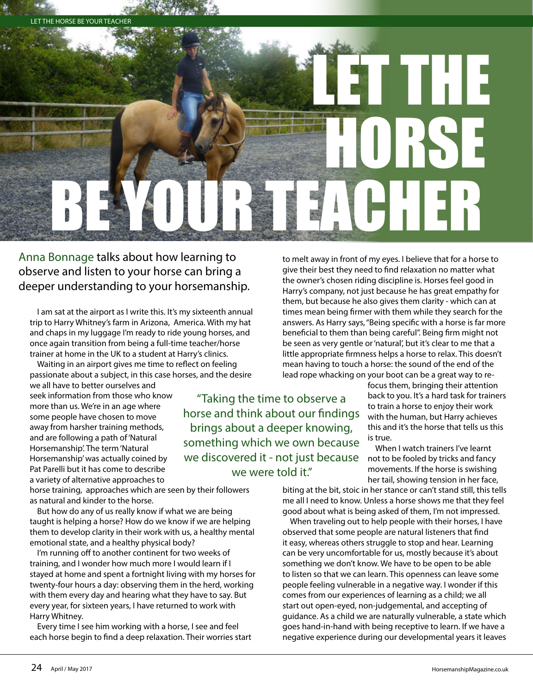

Anna Bonnage talks about how learning to observe and listen to your horse can bring a deeper understanding to your horsemanship.

I am sat at the airport as I write this. It's my sixteenth annual trip to Harry Whitney's farm in Arizona, America. With my hat and chaps in my luggage I'm ready to ride young horses, and once again transition from being a full-time teacher/horse trainer at home in the UK to a student at Harry's clinics.

Waiting in an airport gives me time to reflect on feeling passionate about a subject, in this case horses, and the desire

we all have to better ourselves and seek information from those who know more than us. We're in an age where some people have chosen to move away from harsher training methods, and are following a path of 'Natural Horsemanship'. The term 'Natural Horsemanship' was actually coined by Pat Parelli but it has come to describe a variety of alternative approaches to

horse training, approaches which are seen by their followers as natural and kinder to the horse.

But how do any of us really know if what we are being taught is helping a horse? How do we know if we are helping them to develop clarity in their work with us, a healthy mental emotional state, and a healthy physical body?

I'm running off to another continent for two weeks of training, and I wonder how much more I would learn if I stayed at home and spent a fortnight living with my horses for twenty-four hours a day: observing them in the herd, working with them every day and hearing what they have to say. But every year, for sixteen years, I have returned to work with Harry Whitney.

Every time I see him working with a horse, I see and feel each horse begin to find a deep relaxation. Their worries start to melt away in front of my eyes. I believe that for a horse to give their best they need to find relaxation no matter what the owner's chosen riding discipline is. Horses feel good in Harry's company, not just because he has great empathy for them, but because he also gives them clarity - which can at times mean being firmer with them while they search for the answers. As Harry says, "Being specific with a horse is far more beneficial to them than being careful". Being firm might not be seen as very gentle or 'natural', but it's clear to me that a little appropriate firmness helps a horse to relax. This doesn't mean having to touch a horse: the sound of the end of the lead rope whacking on your boot can be a great way to re-

"Taking the time to observe a horse and think about our findings brings about a deeper knowing, something which we own because we discovered it - not just because we were told it."

focus them, bringing their attention back to you. It's a hard task for trainers to train a horse to enjoy their work with the human, but Harry achieves this and it's the horse that tells us this is true.

When I watch trainers I've learnt not to be fooled by tricks and fancy movements. If the horse is swishing her tail, showing tension in her face,

biting at the bit, stoic in her stance or can't stand still, this tells me all I need to know. Unless a horse shows me that they feel good about what is being asked of them, I'm not impressed.

When traveling out to help people with their horses, I have observed that some people are natural listeners that find it easy, whereas others struggle to stop and hear. Learning can be very uncomfortable for us, mostly because it's about something we don't know. We have to be open to be able to listen so that we can learn. This openness can leave some people feeling vulnerable in a negative way. I wonder if this comes from our experiences of learning as a child; we all start out open-eyed, non-judgemental, and accepting of guidance. As a child we are naturally vulnerable, a state which goes hand-in-hand with being receptive to learn. If we have a negative experience during our developmental years it leaves